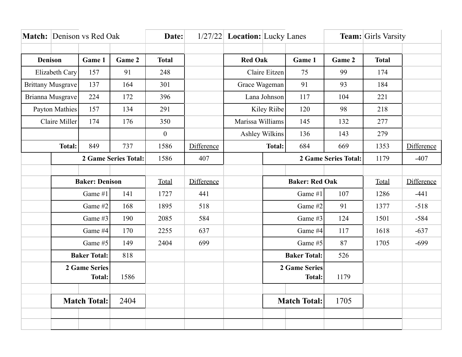|                          | <b>Match:</b> Denison vs Red Oak |        |              | Date:            |                |                       | 1/27/22 Location: Lucky Lanes |                             | <b>Team:</b> Girls Varsity |        |            |
|--------------------------|----------------------------------|--------|--------------|------------------|----------------|-----------------------|-------------------------------|-----------------------------|----------------------------|--------|------------|
|                          |                                  |        |              |                  |                |                       |                               |                             |                            |        |            |
| <b>Denison</b><br>Game 1 |                                  | Game 2 | <b>Total</b> |                  | <b>Red Oak</b> |                       | Game 1                        | Game 2                      | <b>Total</b>               |        |            |
| Elizabeth Cary           |                                  | 157    | 91           | 248              |                | Claire Eitzen         |                               | 75                          | 99                         | 174    |            |
| <b>Brittany Musgrave</b> |                                  | 137    | 164          | 301              |                | Grace Wageman         |                               | 91                          | 93                         | 184    |            |
| Brianna Musgrave         |                                  | 224    | 172          | 396              |                | Lana Johnson          |                               | 117                         | 104                        | 221    |            |
| <b>Payton Mathies</b>    |                                  | 157    | 134          | 291              |                | Kiley Riibe           |                               | 120                         | 98                         | 218    |            |
| Claire Miller            |                                  | 174    | 176          | 350              |                | Marissa Williams      |                               | 145                         | 132                        | 277    |            |
|                          |                                  |        |              | $\boldsymbol{0}$ |                | <b>Ashley Wilkins</b> |                               | 136                         | 143                        | 279    |            |
| <b>Total:</b>            |                                  | 849    | 737          | 1586             | Difference     | <b>Total:</b>         |                               | 684                         | 669                        | 1353   | Difference |
|                          | 2 Game Series Total:             |        | 1586         | 407              |                |                       |                               | <b>2 Game Series Total:</b> | 1179                       | $-407$ |            |
|                          |                                  |        |              |                  |                |                       |                               |                             |                            |        |            |
|                          | <b>Baker: Denison</b>            |        |              | Total            | Difference     |                       | <b>Baker: Red Oak</b>         |                             |                            | Total  | Difference |
|                          | Game #1                          |        | 141          | 1727             | 441            |                       | Game #1                       |                             | 107                        | 1286   | $-441$     |
|                          | Game #2                          |        | 168          | 1895             | 518            |                       | Game #2                       |                             | 91                         | 1377   | $-518$     |
|                          | Game #3                          |        | 190          | 2085             | 584            |                       | Game #3                       |                             | 124                        | 1501   | $-584$     |
|                          | Game #4                          |        | 170          | 2255             | 637            |                       | Game #4                       |                             | 117                        | 1618   | $-637$     |
|                          | Game #5                          |        | 149          | 2404             | 699            |                       | Game #5                       |                             | 87                         | 1705   | $-699$     |
|                          | <b>Baker Total:</b>              |        | 818          |                  |                |                       | <b>Baker Total:</b>           |                             | 526                        |        |            |
|                          | <b>2 Game Series</b>             |        |              |                  |                |                       | <b>2 Game Series</b>          |                             |                            |        |            |
|                          | <b>Total:</b>                    |        | 1586         |                  |                |                       |                               | <b>Total:</b>               | 1179                       |        |            |
|                          |                                  |        |              |                  |                |                       |                               |                             |                            |        |            |
|                          | <b>Match Total:</b>              |        | 2404         |                  |                |                       |                               | <b>Match Total:</b>         | 1705                       |        |            |
|                          |                                  |        |              |                  |                |                       |                               |                             |                            |        |            |
|                          |                                  |        |              |                  |                |                       |                               |                             |                            |        |            |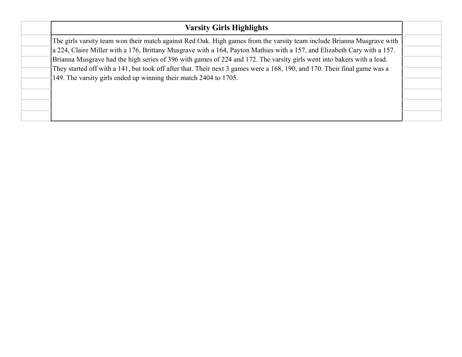|  | <b>Varsity Girls Highlights</b>                                                                                                                                                                                                                     |  |  |  |  |  |  |
|--|-----------------------------------------------------------------------------------------------------------------------------------------------------------------------------------------------------------------------------------------------------|--|--|--|--|--|--|
|  | The girls varsity team won their match against Red Oak. High games from the varsity team include Brianna Musgrave with                                                                                                                              |  |  |  |  |  |  |
|  | a 224, Claire Miller with a 176, Brittany Musgrave with a 164, Payton Mathies with a 157, and Elizabeth Cary with a 157.                                                                                                                            |  |  |  |  |  |  |
|  | Brianna Musgrave had the high series of 396 with games of 224 and 172. The varsity girls went into bakers with a lead.<br>They started off with a 141, but took off after that. Their next 3 games were a 168, 190, and 170. Their final game was a |  |  |  |  |  |  |
|  |                                                                                                                                                                                                                                                     |  |  |  |  |  |  |
|  | 149. The varsity girls ended up winning their match 2404 to 1705.                                                                                                                                                                                   |  |  |  |  |  |  |
|  |                                                                                                                                                                                                                                                     |  |  |  |  |  |  |
|  |                                                                                                                                                                                                                                                     |  |  |  |  |  |  |
|  |                                                                                                                                                                                                                                                     |  |  |  |  |  |  |
|  |                                                                                                                                                                                                                                                     |  |  |  |  |  |  |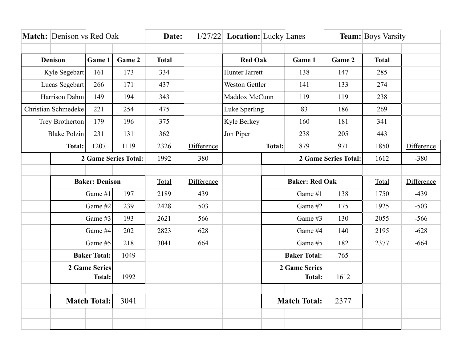| Match: Denison vs Red Oak |                             |        | Date:        |       |                | 1/27/22 Location: Lucky Lanes |                       |               | <b>Team:</b> Boys Varsity |       |            |
|---------------------------|-----------------------------|--------|--------------|-------|----------------|-------------------------------|-----------------------|---------------|---------------------------|-------|------------|
|                           |                             |        |              |       |                |                               |                       |               |                           |       |            |
| <b>Denison</b><br>Game 1  |                             | Game 2 | <b>Total</b> |       | <b>Red Oak</b> |                               | Game 1                | Game 2        | <b>Total</b>              |       |            |
| Kyle Segebart<br>161      |                             |        | 173          | 334   |                | Hunter Jarrett                |                       | 138           | 147                       | 285   |            |
| Lucas Segebart            |                             | 266    | 171          | 437   |                | <b>Weston Gettler</b>         |                       | 141           | 133                       | 274   |            |
| Harrison Dahm             |                             | 149    | 194          | 343   |                | Maddox McCunn                 |                       | 119           | 119                       | 238   |            |
|                           | Christian Schmedeke<br>221  |        | 254          | 475   |                | Luke Sperling                 |                       | 83            | 186                       | 269   |            |
|                           | Trey Brotherton             |        | 196          | 375   |                | Kyle Berkey                   |                       | 160           | 181                       | 341   |            |
|                           | <b>Blake Polzin</b>         |        | 131          | 362   |                | Jon Piper                     |                       | 238           | 205                       | 443   |            |
| <b>Total:</b>             |                             | 1207   | 1119         | 2326  | Difference     | <b>Total:</b>                 |                       | 879           | 971                       | 1850  | Difference |
|                           | <b>2 Game Series Total:</b> |        |              | 1992  | 380            |                               |                       |               | 2 Game Series Total:      | 1612  | $-380$     |
|                           |                             |        |              |       |                |                               |                       |               |                           |       |            |
| <b>Baker: Denison</b>     |                             |        |              | Total | Difference     |                               | <b>Baker: Red Oak</b> |               |                           | Total | Difference |
|                           | Game #1                     |        | 197          | 2189  | 439            |                               | Game #1               |               | 138                       | 1750  | $-439$     |
|                           | Game #2                     |        | 239          | 2428  | 503            |                               | Game #2               |               | 175                       | 1925  | $-503$     |
|                           | Game #3                     |        | 193          | 2621  | 566            |                               | Game #3               |               | 130                       | 2055  | $-566$     |
|                           | Game #4                     |        | 202          | 2823  | 628            |                               | Game #4               |               | 140                       | 2195  | $-628$     |
|                           | Game #5                     |        | 218          | 3041  | 664            |                               | Game #5               |               | 182                       | 2377  | $-664$     |
|                           | <b>Baker Total:</b>         |        | 1049         |       |                |                               | <b>Baker Total:</b>   |               | 765                       |       |            |
| 2 Game Series             |                             |        |              |       |                |                               | 2 Game Series         |               |                           |       |            |
|                           | <b>Total:</b>               |        | 1992         |       |                |                               |                       | <b>Total:</b> | 1612                      |       |            |
|                           |                             |        |              |       |                |                               |                       |               |                           |       |            |
| <b>Match Total:</b>       |                             | 3041   |              |       |                |                               | <b>Match Total:</b>   | 2377          |                           |       |            |
|                           |                             |        |              |       |                |                               |                       |               |                           |       |            |
|                           |                             |        |              |       |                |                               |                       |               |                           |       |            |